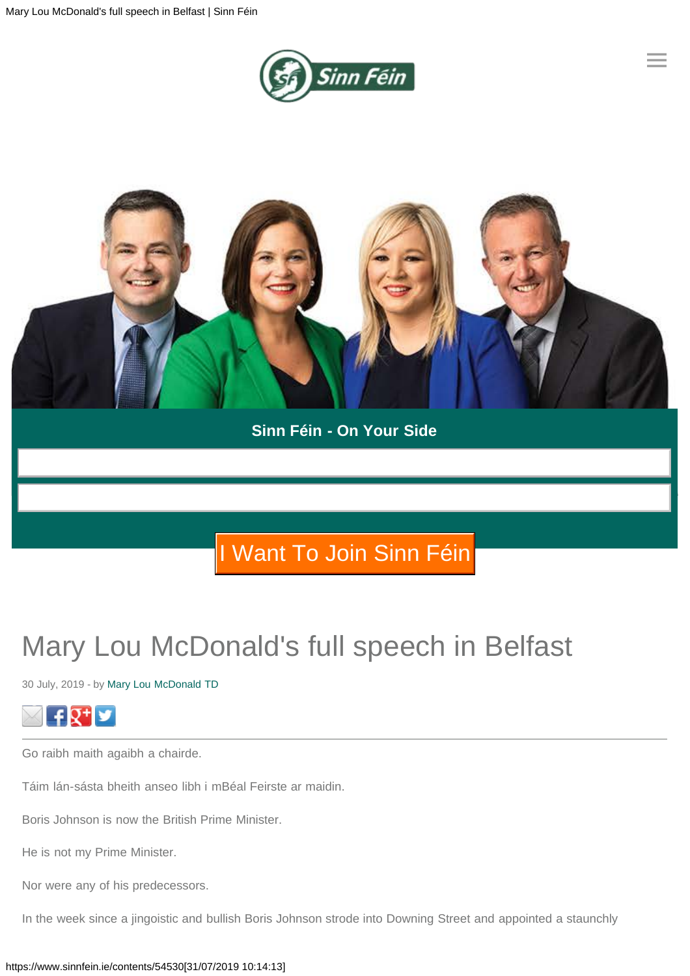

**[≡](#page-0-0)**

<span id="page-0-0"></span>

### **Sinn Féin - On Your Side**

## I Want I Want To Join Sinn Féin To Join Sinn Féin

# Mary Lou McDonald's full speech in Belfast

30 July, 2019 - by Mary Lou McDonald TD



Go raibh maith agaibh a chairde.

Táim lán-sásta bheith anseo libh i mBéal Feirste ar maidin.

Boris Johnson is now the British Prime Minister.

He is not my Prime Minister.

Nor were any of his predecessors.

In the week since a jingoistic and bullish Boris Johnson strode into Downing Street and appointed a staunchly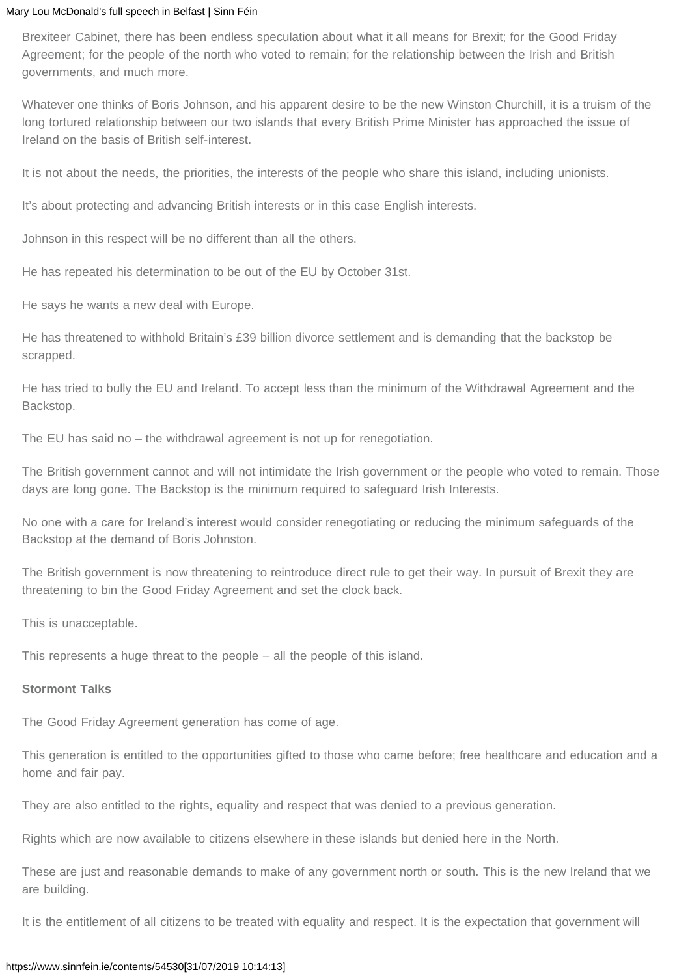Brexiteer Cabinet, there has been endless speculation about what it all means for Brexit; for the Good Friday Agreement; for the people of the north who voted to remain; for the relationship between the Irish and British governments, and much more.

Whatever one thinks of Boris Johnson, and his apparent desire to be the new Winston Churchill, it is a truism of the long tortured relationship between our two islands that every British Prime Minister has approached the issue of Ireland on the basis of British self-interest.

It is not about the needs, the priorities, the interests of the people who share this island, including unionists.

It's about protecting and advancing British interests or in this case English interests.

Johnson in this respect will be no different than all the others.

He has repeated his determination to be out of the EU by October 31st.

He says he wants a new deal with Europe.

He has threatened to withhold Britain's £39 billion divorce settlement and is demanding that the backstop be scrapped.

He has tried to bully the EU and Ireland. To accept less than the minimum of the Withdrawal Agreement and the Backstop.

The EU has said no – the withdrawal agreement is not up for renegotiation.

The British government cannot and will not intimidate the Irish government or the people who voted to remain. Those days are long gone. The Backstop is the minimum required to safeguard Irish Interests.

No one with a care for Ireland's interest would consider renegotiating or reducing the minimum safeguards of the Backstop at the demand of Boris Johnston.

The British government is now threatening to reintroduce direct rule to get their way. In pursuit of Brexit they are threatening to bin the Good Friday Agreement and set the clock back.

This is unacceptable.

This represents a huge threat to the people – all the people of this island.

#### **Stormont Talks**

The Good Friday Agreement generation has come of age.

This generation is entitled to the opportunities gifted to those who came before; free healthcare and education and a home and fair pay.

They are also entitled to the rights, equality and respect that was denied to a previous generation.

Rights which are now available to citizens elsewhere in these islands but denied here in the North.

These are just and reasonable demands to make of any government north or south. This is the new Ireland that we are building.

It is the entitlement of all citizens to be treated with equality and respect. It is the expectation that government will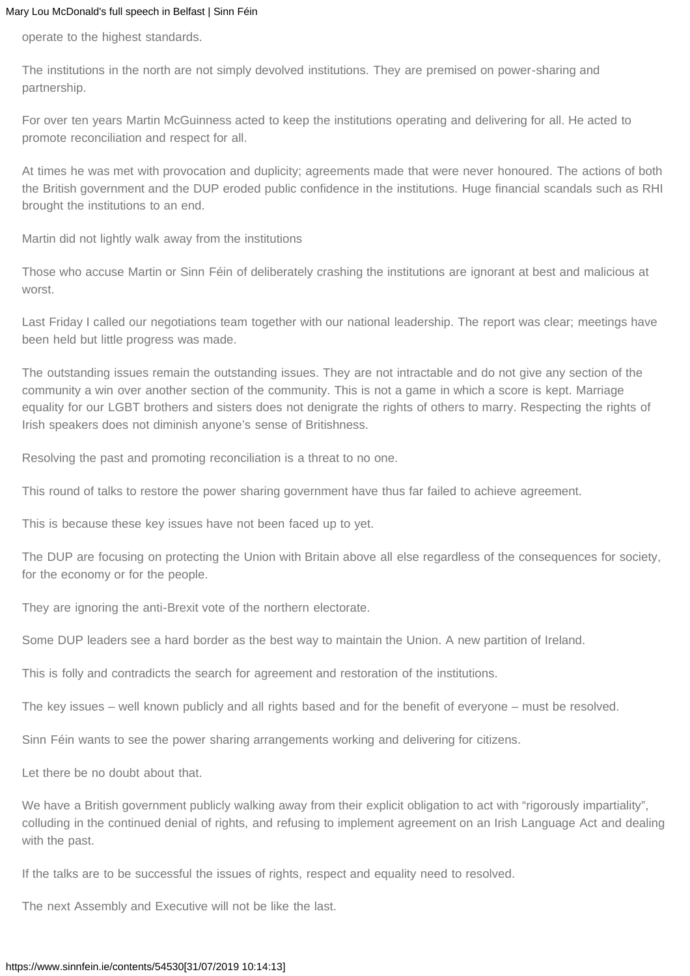operate to the highest standards.

The institutions in the north are not simply devolved institutions. They are premised on power-sharing and partnership.

For over ten years Martin McGuinness acted to keep the institutions operating and delivering for all. He acted to promote reconciliation and respect for all.

At times he was met with provocation and duplicity; agreements made that were never honoured. The actions of both the British government and the DUP eroded public confidence in the institutions. Huge financial scandals such as RHI brought the institutions to an end.

Martin did not lightly walk away from the institutions

Those who accuse Martin or Sinn Féin of deliberately crashing the institutions are ignorant at best and malicious at worst.

Last Friday I called our negotiations team together with our national leadership. The report was clear; meetings have been held but little progress was made.

The outstanding issues remain the outstanding issues. They are not intractable and do not give any section of the community a win over another section of the community. This is not a game in which a score is kept. Marriage equality for our LGBT brothers and sisters does not denigrate the rights of others to marry. Respecting the rights of Irish speakers does not diminish anyone's sense of Britishness.

Resolving the past and promoting reconciliation is a threat to no one.

This round of talks to restore the power sharing government have thus far failed to achieve agreement.

This is because these key issues have not been faced up to yet.

The DUP are focusing on protecting the Union with Britain above all else regardless of the consequences for society, for the economy or for the people.

They are ignoring the anti-Brexit vote of the northern electorate.

Some DUP leaders see a hard border as the best way to maintain the Union. A new partition of Ireland.

This is folly and contradicts the search for agreement and restoration of the institutions.

The key issues – well known publicly and all rights based and for the benefit of everyone – must be resolved.

Sinn Féin wants to see the power sharing arrangements working and delivering for citizens.

Let there be no doubt about that.

We have a British government publicly walking away from their explicit obligation to act with "rigorously impartiality", colluding in the continued denial of rights, and refusing to implement agreement on an Irish Language Act and dealing with the past.

If the talks are to be successful the issues of rights, respect and equality need to resolved.

The next Assembly and Executive will not be like the last.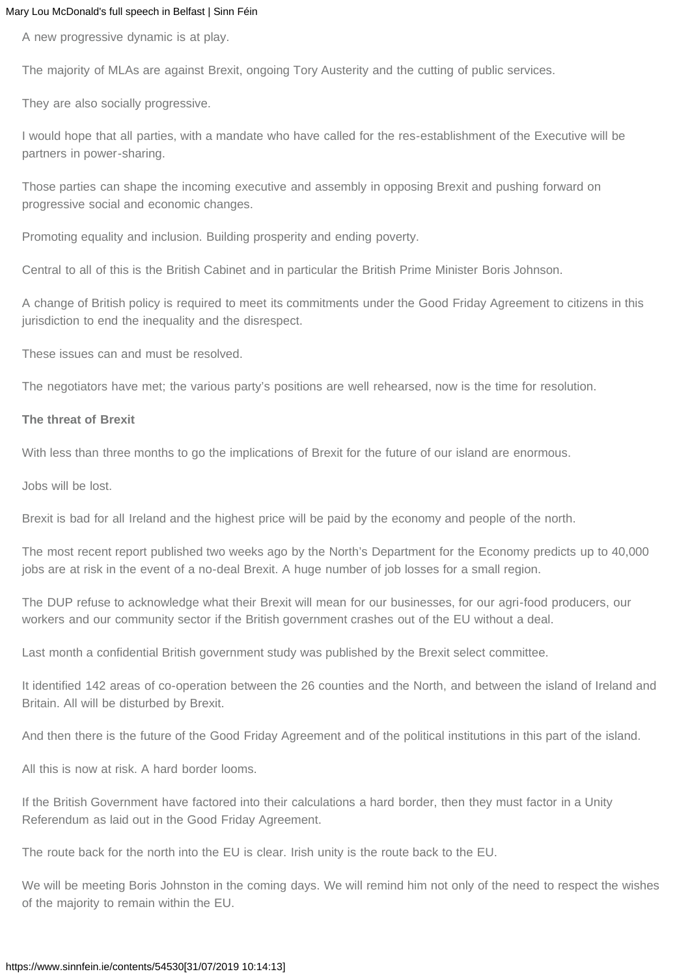A new progressive dynamic is at play.

The majority of MLAs are against Brexit, ongoing Tory Austerity and the cutting of public services.

They are also socially progressive.

I would hope that all parties, with a mandate who have called for the res-establishment of the Executive will be partners in power-sharing.

Those parties can shape the incoming executive and assembly in opposing Brexit and pushing forward on progressive social and economic changes.

Promoting equality and inclusion. Building prosperity and ending poverty.

Central to all of this is the British Cabinet and in particular the British Prime Minister Boris Johnson.

A change of British policy is required to meet its commitments under the Good Friday Agreement to citizens in this jurisdiction to end the inequality and the disrespect.

These issues can and must be resolved.

The negotiators have met; the various party's positions are well rehearsed, now is the time for resolution.

#### **The threat of Brexit**

With less than three months to go the implications of Brexit for the future of our island are enormous.

Jobs will be lost.

Brexit is bad for all Ireland and the highest price will be paid by the economy and people of the north.

The most recent report published two weeks ago by the North's Department for the Economy predicts up to 40,000 jobs are at risk in the event of a no-deal Brexit. A huge number of job losses for a small region.

The DUP refuse to acknowledge what their Brexit will mean for our businesses, for our agri-food producers, our workers and our community sector if the British government crashes out of the EU without a deal.

Last month a confidential British government study was published by the Brexit select committee.

It identified 142 areas of co-operation between the 26 counties and the North, and between the island of Ireland and Britain. All will be disturbed by Brexit.

And then there is the future of the Good Friday Agreement and of the political institutions in this part of the island.

All this is now at risk. A hard border looms.

If the British Government have factored into their calculations a hard border, then they must factor in a Unity Referendum as laid out in the Good Friday Agreement.

The route back for the north into the EU is clear. Irish unity is the route back to the EU.

We will be meeting Boris Johnston in the coming days. We will remind him not only of the need to respect the wishes of the majority to remain within the EU.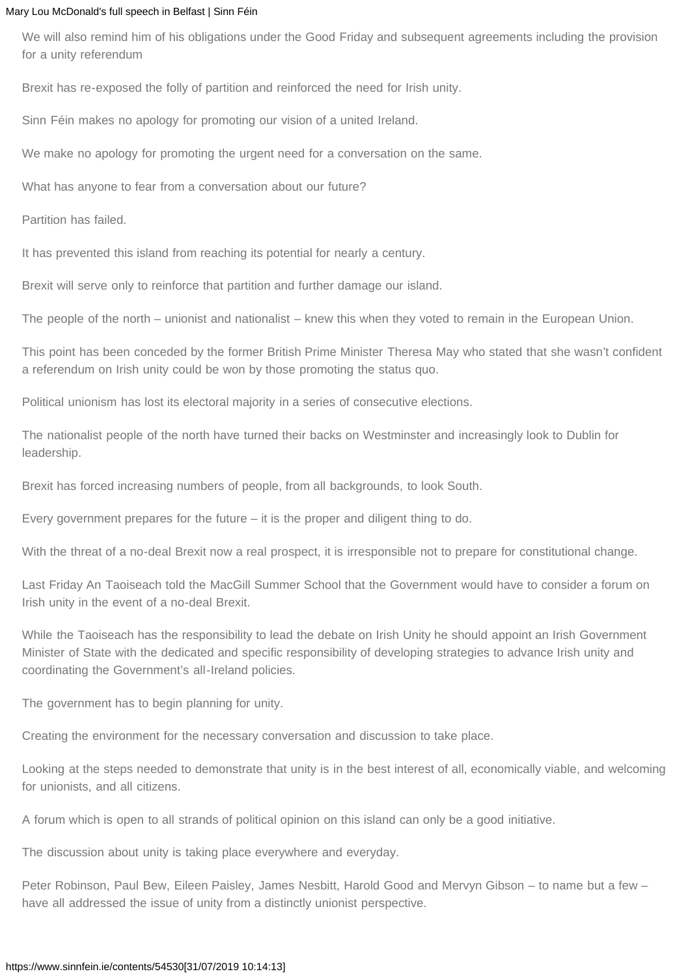We will also remind him of his obligations under the Good Friday and subsequent agreements including the provision for a unity referendum

Brexit has re-exposed the folly of partition and reinforced the need for Irish unity.

Sinn Féin makes no apology for promoting our vision of a united Ireland.

We make no apology for promoting the urgent need for a conversation on the same.

What has anyone to fear from a conversation about our future?

Partition has failed.

It has prevented this island from reaching its potential for nearly a century.

Brexit will serve only to reinforce that partition and further damage our island.

The people of the north – unionist and nationalist – knew this when they voted to remain in the European Union.

This point has been conceded by the former British Prime Minister Theresa May who stated that she wasn't confident a referendum on Irish unity could be won by those promoting the status quo.

Political unionism has lost its electoral majority in a series of consecutive elections.

The nationalist people of the north have turned their backs on Westminster and increasingly look to Dublin for leadership.

Brexit has forced increasing numbers of people, from all backgrounds, to look South.

Every government prepares for the future – it is the proper and diligent thing to do.

With the threat of a no-deal Brexit now a real prospect, it is irresponsible not to prepare for constitutional change.

Last Friday An Taoiseach told the MacGill Summer School that the Government would have to consider a forum on Irish unity in the event of a no-deal Brexit.

While the Taoiseach has the responsibility to lead the debate on Irish Unity he should appoint an Irish Government Minister of State with the dedicated and specific responsibility of developing strategies to advance Irish unity and coordinating the Government's all-Ireland policies.

The government has to begin planning for unity.

Creating the environment for the necessary conversation and discussion to take place.

Looking at the steps needed to demonstrate that unity is in the best interest of all, economically viable, and welcoming for unionists, and all citizens.

A forum which is open to all strands of political opinion on this island can only be a good initiative.

The discussion about unity is taking place everywhere and everyday.

Peter Robinson, Paul Bew, Eileen Paisley, James Nesbitt, Harold Good and Mervyn Gibson – to name but a few – have all addressed the issue of unity from a distinctly unionist perspective.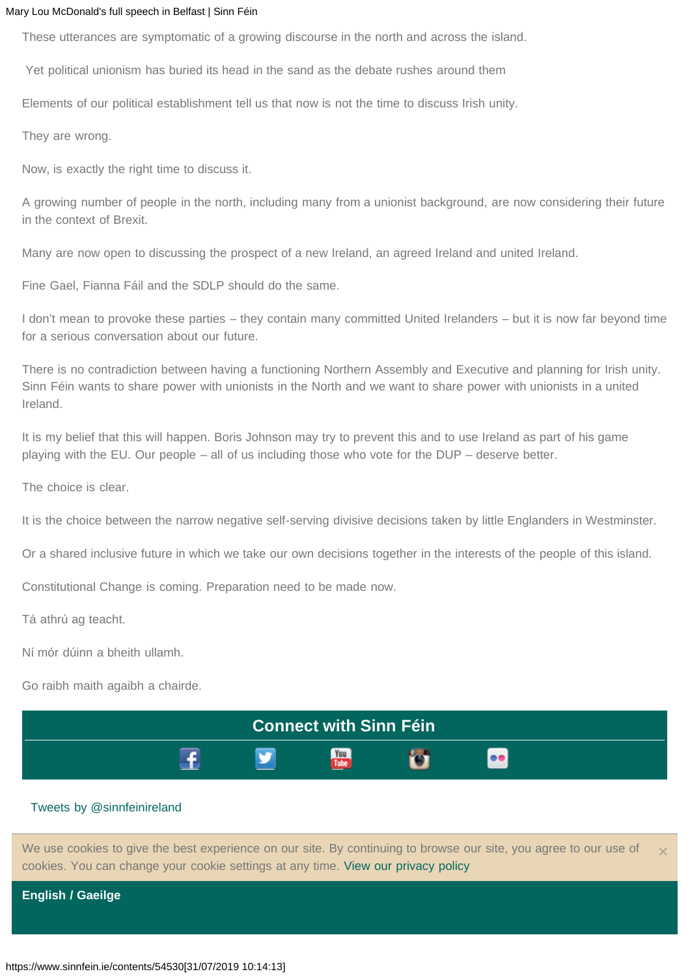These utterances are symptomatic of a growing discourse in the north and across the island.

Yet political unionism has buried its head in the sand as the debate rushes around them

Elements of our political establishment tell us that now is not the time to discuss Irish unity.

They are wrong.

Now, is exactly the right time to discuss it.

A growing number of people in the north, including many from a unionist background, are now considering their future in the context of Brexit.

Many are now open to discussing the prospect of a new Ireland, an agreed Ireland and united Ireland.

Fine Gael, Fianna Fáil and the SDLP should do the same.

I don't mean to provoke these parties – they contain many committed United Irelanders – but it is now far beyond time for a serious conversation about our future.

There is no contradiction between having a functioning Northern Assembly and Executive and planning for Irish unity. Sinn Féin wants to share power with unionists in the North and we want to share power with unionists in a united Ireland.

It is my belief that this will happen. Boris Johnson may try to prevent this and to use Ireland as part of his game playing with the EU. Our people – all of us including those who vote for the DUP – deserve better.

The choice is clear.

It is the choice between the narrow negative self-serving divisive decisions taken by little Englanders in Westminster.

Or a shared inclusive future in which we take our own decisions together in the interests of the people of this island.

Constitutional Change is coming. Preparation need to be made now.

Tá athrú ag teacht.

Ní mór dúinn a bheith ullamh.

Go raibh maith agaibh a chairde.



#### Tweets by @sinnfeinireland

We use cookies to give the best experience on our site. By continuing to browse our site, you agree to our use of cookies. You can change your cookie settings at any time. View our privacy policy

[×](#page-0-0)

**[English](#page-0-0) / Gaeilge**